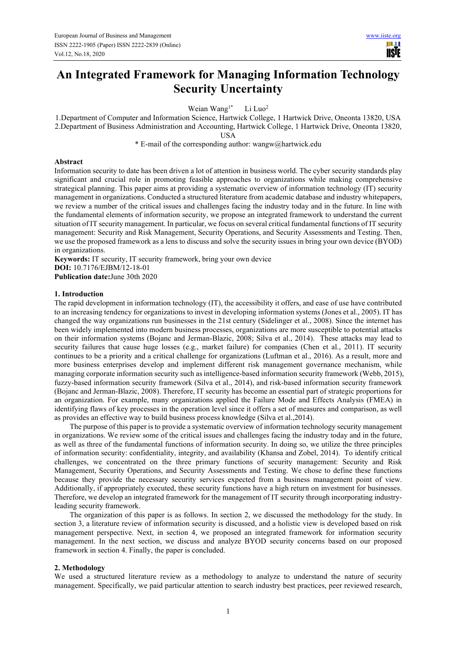# **An Integrated Framework for Managing Information Technology Security Uncertainty**

Weian Wang<sup>1\*</sup> Li Luo<sup>2</sup>

1.Department of Computer and Information Science, Hartwick College, 1 Hartwick Drive, Oneonta 13820, USA 2.Department of Business Administration and Accounting, Hartwick College, 1 Hartwick Drive, Oneonta 13820, USA

\* E-mail of the corresponding author: wangw@hartwick.edu

## **Abstract**

Information security to date has been driven a lot of attention in business world. The cyber security standards play significant and crucial role in promoting feasible approaches to organizations while making comprehensive strategical planning. This paper aims at providing a systematic overview of information technology (IT) security management in organizations. Conducted a structured literature from academic database and industry whitepapers, we review a number of the critical issues and challenges facing the industry today and in the future. In line with the fundamental elements of information security, we propose an integrated framework to understand the current situation of IT security management. In particular, we focus on several critical fundamental functions of IT security management: Security and Risk Management, Security Operations, and Security Assessments and Testing. Then, we use the proposed framework as a lens to discuss and solve the security issues in bring your own device (BYOD) in organizations.

**Keywords:** IT security, IT security framework, bring your own device **DOI:** 10.7176/EJBM/12-18-01 **Publication date:**June 30th 2020

#### **1. Introduction**

The rapid development in information technology (IT), the accessibility it offers, and ease of use have contributed to an increasing tendency for organizations to invest in developing information systems (Jones et al., 2005). IT has changed the way organizations run businesses in the 21st century (Sidelinger et al., 2008). Since the internet has been widely implemented into modern business processes, organizations are more susceptible to potential attacks on their information systems (Bojanc and Jerman-Blazic, 2008; Silva et al., 2014). These attacks may lead to security failures that cause huge losses (e.g., market failure) for companies (Chen et al., 2011). IT security continues to be a priority and a critical challenge for organizations (Luftman et al., 2016). As a result, more and more business enterprises develop and implement different risk management governance mechanism, while managing corporate information security such as intelligence-based information security framework (Webb, 2015), fuzzy-based information security framework (Silva et al., 2014), and risk-based information security framework (Bojanc and Jerman-Blazic, 2008). Therefore, IT security has become an essential part of strategic proportions for an organization. For example, many organizations applied the Failure Mode and Effects Analysis (FMEA) in identifying flaws of key processes in the operation level since it offers a set of measures and comparison, as well as provides an effective way to build business process knowledge (Silva et al.,2014).

The purpose of this paper is to provide a systematic overview of information technology security management in organizations. We review some of the critical issues and challenges facing the industry today and in the future, as well as three of the fundamental functions of information security. In doing so, we utilize the three principles of information security: confidentiality, integrity, and availability (Khansa and Zobel, 2014). To identify critical challenges, we concentrated on the three primary functions of security management: Security and Risk Management, Security Operations, and Security Assessments and Testing. We chose to define these functions because they provide the necessary security services expected from a business management point of view. Additionally, if appropriately executed, these security functions have a high return on investment for businesses. Therefore, we develop an integrated framework for the management of IT security through incorporating industryleading security framework.

The organization of this paper is as follows. In section 2, we discussed the methodology for the study. In section 3, a literature review of information security is discussed, and a holistic view is developed based on risk management perspective. Next, in section 4, we proposed an integrated framework for information security management. In the next section, we discuss and analyze BYOD security concerns based on our proposed framework in section 4. Finally, the paper is concluded.

#### **2. Methodology**

We used a structured literature review as a methodology to analyze to understand the nature of security management. Specifically, we paid particular attention to search industry best practices, peer reviewed research,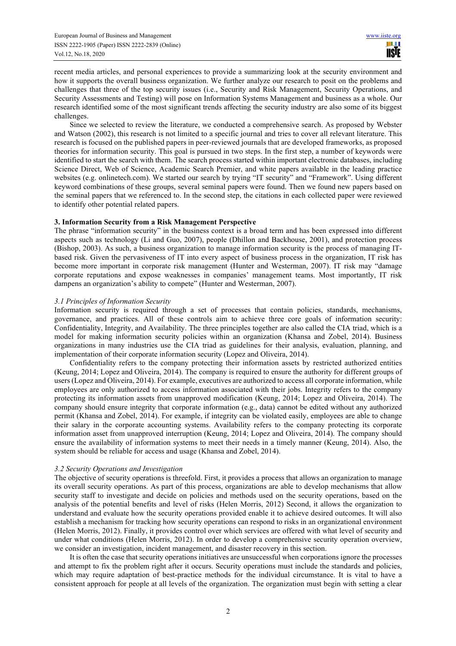recent media articles, and personal experiences to provide a summarizing look at the security environment and how it supports the overall business organization. We further analyze our research to posit on the problems and challenges that three of the top security issues (i.e., Security and Risk Management, Security Operations, and Security Assessments and Testing) will pose on Information Systems Management and business as a whole. Our research identified some of the most significant trends affecting the security industry are also some of its biggest challenges.

Since we selected to review the literature, we conducted a comprehensive search. As proposed by Webster and Watson (2002), this research is not limited to a specific journal and tries to cover all relevant literature. This research is focused on the published papers in peer-reviewed journals that are developed frameworks, as proposed theories for information security. This goal is pursued in two steps. In the first step, a number of keywords were identified to start the search with them. The search process started within important electronic databases, including Science Direct, Web of Science, Academic Search Premier, and white papers available in the leading practice websites (e.g. onlinetech.com). We started our search by trying "IT security" and "Framework". Using different keyword combinations of these groups, several seminal papers were found. Then we found new papers based on the seminal papers that we referenced to. In the second step, the citations in each collected paper were reviewed to identify other potential related papers.

# **3. Information Security from a Risk Management Perspective**

The phrase "information security" in the business context is a broad term and has been expressed into different aspects such as technology (Li and Guo, 2007), people (Dhillon and Backhouse, 2001), and protection process (Bishop, 2003). As such, a business organization to manage information security is the process of managing ITbased risk. Given the pervasiveness of IT into every aspect of business process in the organization, IT risk has become more important in corporate risk management (Hunter and Westerman, 2007). IT risk may "damage corporate reputations and expose weaknesses in companies' management teams. Most importantly, IT risk dampens an organization's ability to compete" (Hunter and Westerman, 2007).

## *3.1 Principles of Information Security*

Information security is required through a set of processes that contain policies, standards, mechanisms, governance, and practices. All of these controls aim to achieve three core goals of information security: Confidentiality, Integrity, and Availability. The three principles together are also called the CIA triad, which is a model for making information security policies within an organization (Khansa and Zobel, 2014). Business organizations in many industries use the CIA triad as guidelines for their analysis, evaluation, planning, and implementation of their corporate information security (Lopez and Oliveira, 2014).

Confidentiality refers to the company protecting their information assets by restricted authorized entities (Keung, 2014; Lopez and Oliveira, 2014). The company is required to ensure the authority for different groups of users (Lopez and Oliveira, 2014). For example, executives are authorized to access all corporate information, while employees are only authorized to access information associated with their jobs. Integrity refers to the company protecting its information assets from unapproved modification (Keung, 2014; Lopez and Oliveira, 2014). The company should ensure integrity that corporate information (e.g., data) cannot be edited without any authorized permit (Khansa and Zobel, 2014). For example, if integrity can be violated easily, employees are able to change their salary in the corporate accounting systems. Availability refers to the company protecting its corporate information asset from unapproved interruption (Keung, 2014; Lopez and Oliveira, 2014). The company should ensure the availability of information systems to meet their needs in a timely manner (Keung, 2014). Also, the system should be reliable for access and usage (Khansa and Zobel, 2014).

# *3.2 Security Operations and Investigation*

The objective of security operations is threefold. First, it provides a process that allows an organization to manage its overall security operations. As part of this process, organizations are able to develop mechanisms that allow security staff to investigate and decide on policies and methods used on the security operations, based on the analysis of the potential benefits and level of risks (Helen Morris, 2012) Second, it allows the organization to understand and evaluate how the security operations provided enable it to achieve desired outcomes. It will also establish a mechanism for tracking how security operations can respond to risks in an organizational environment (Helen Morris, 2012). Finally, it provides control over which services are offered with what level of security and under what conditions (Helen Morris, 2012). In order to develop a comprehensive security operation overview, we consider an investigation, incident management, and disaster recovery in this section.

It is often the case that security operations initiatives are unsuccessful when corporations ignore the processes and attempt to fix the problem right after it occurs. Security operations must include the standards and policies, which may require adaptation of best-practice methods for the individual circumstance. It is vital to have a consistent approach for people at all levels of the organization. The organization must begin with setting a clear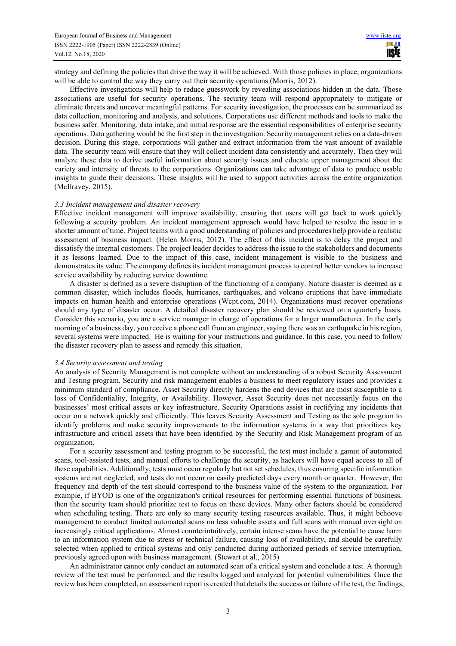strategy and defining the policies that drive the way it will be achieved. With those policies in place, organizations will be able to control the way they carry out their security operations (Morris, 2012).

Effective investigations will help to reduce guesswork by revealing associations hidden in the data. Those associations are useful for security operations. The security team will respond appropriately to mitigate or eliminate threats and uncover meaningful patterns. For security investigation, the processes can be summarized as data collection, monitoring and analysis, and solutions. Corporations use different methods and tools to make the business safer. Monitoring, data intake, and initial response are the essential responsibilities of enterprise security operations. Data gathering would be the first step in the investigation. Security management relies on a data-driven decision. During this stage, corporations will gather and extract information from the vast amount of available data. The security team will ensure that they will collect incident data consistently and accurately. Then they will analyze these data to derive useful information about security issues and educate upper management about the variety and intensity of threats to the corporations. Organizations can take advantage of data to produce usable insights to guide their decisions. These insights will be used to support activities across the entire organization (McIlravey, 2015).

## *3.3 Incident management and disaster recovery*

Effective incident management will improve availability, ensuring that users will get back to work quickly following a security problem. An incident management approach would have helped to resolve the issue in a shorter amount of time. Project teams with a good understanding of policies and procedures help provide a realistic assessment of business impact. (Helen Morris, 2012). The effect of this incident is to delay the project and dissatisfy the internal customers. The project leader decides to address the issue to the stakeholders and documents it as lessons learned. Due to the impact of this case, incident management is visible to the business and demonstrates its value. The company defines its incident management process to control better vendors to increase service availability by reducing service downtime.

A disaster is defined as a severe disruption of the functioning of a company. Nature disaster is deemed as a common disaster, which includes floods, hurricanes, earthquakes, and volcano eruptions that have immediate impacts on human health and enterprise operations (Wcpt.com, 2014). Organizations must recover operations should any type of disaster occur. A detailed disaster recovery plan should be reviewed on a quarterly basis. Consider this scenario, you are a service manager in charge of operations for a larger manufacturer. In the early morning of a business day, you receive a phone call from an engineer, saying there was an earthquake in his region, several systems were impacted. He is waiting for your instructions and guidance. In this case, you need to follow the disaster recovery plan to assess and remedy this situation.

#### *3.4 Security assessment and testing*

An analysis of Security Management is not complete without an understanding of a robust Security Assessment and Testing program. Security and risk management enables a business to meet regulatory issues and provides a minimum standard of compliance. Asset Security directly hardens the end devices that are most susceptible to a loss of Confidentiality, Integrity, or Availability. However, Asset Security does not necessarily focus on the businesses' most critical assets or key infrastructure. Security Operations assist in rectifying any incidents that occur on a network quickly and efficiently. This leaves Security Assessment and Testing as the sole program to identify problems and make security improvements to the information systems in a way that prioritizes key infrastructure and critical assets that have been identified by the Security and Risk Management program of an organization.

For a security assessment and testing program to be successful, the test must include a gamut of automated scans, tool-assisted tests, and manual efforts to challenge the security, as hackers will have equal access to all of these capabilities. Additionally, tests must occur regularly but not set schedules, thus ensuring specific information systems are not neglected, and tests do not occur on easily predicted days every month or quarter. However, the frequency and depth of the test should correspond to the business value of the system to the organization. For example, if BYOD is one of the organization's critical resources for performing essential functions of business, then the security team should prioritize test to focus on these devices. Many other factors should be considered when scheduling testing. There are only so many security testing resources available. Thus, it might behoove management to conduct limited automated scans on less valuable assets and full scans with manual oversight on increasingly critical applications. Almost counterintuitively, certain intense scans have the potential to cause harm to an information system due to stress or technical failure, causing loss of availability, and should be carefully selected when applied to critical systems and only conducted during authorized periods of service interruption, previously agreed upon with business management. (Stewart et al., 2015)

An administrator cannot only conduct an automated scan of a critical system and conclude a test. A thorough review of the test must be performed, and the results logged and analyzed for potential vulnerabilities. Once the review has been completed, an assessment report is created that details the success or failure of the test, the findings,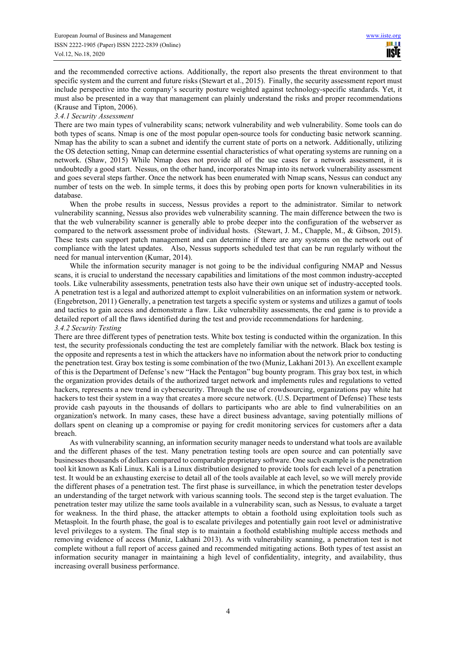and the recommended corrective actions. Additionally, the report also presents the threat environment to that specific system and the current and future risks (Stewart et al., 2015). Finally, the security assessment report must include perspective into the company's security posture weighted against technology-specific standards. Yet, it must also be presented in a way that management can plainly understand the risks and proper recommendations (Krause and Tipton, 2006).

## *3.4.1 Security Assessment*

There are two main types of vulnerability scans; network vulnerability and web vulnerability. Some tools can do both types of scans. Nmap is one of the most popular open-source tools for conducting basic network scanning. Nmap has the ability to scan a subnet and identify the current state of ports on a network. Additionally, utilizing the OS detection setting, Nmap can determine essential characteristics of what operating systems are running on a network. (Shaw, 2015) While Nmap does not provide all of the use cases for a network assessment, it is undoubtedly a good start. Nessus, on the other hand, incorporates Nmap into its network vulnerability assessment and goes several steps farther. Once the network has been enumerated with Nmap scans, Nessus can conduct any number of tests on the web. In simple terms, it does this by probing open ports for known vulnerabilities in its database.

When the probe results in success, Nessus provides a report to the administrator. Similar to network vulnerability scanning, Nessus also provides web vulnerability scanning. The main difference between the two is that the web vulnerability scanner is generally able to probe deeper into the configuration of the webserver as compared to the network assessment probe of individual hosts. (Stewart, J. M., Chapple, M., & Gibson, 2015). These tests can support patch management and can determine if there are any systems on the network out of compliance with the latest updates. Also, Nessus supports scheduled test that can be run regularly without the need for manual intervention (Kumar, 2014).

While the information security manager is not going to be the individual configuring NMAP and Nessus scans, it is crucial to understand the necessary capabilities and limitations of the most common industry-accepted tools. Like vulnerability assessments, penetration tests also have their own unique set of industry-accepted tools. A penetration test is a legal and authorized attempt to exploit vulnerabilities on an information system or network. (Engebretson, 2011) Generally, a penetration test targets a specific system or systems and utilizes a gamut of tools and tactics to gain access and demonstrate a flaw. Like vulnerability assessments, the end game is to provide a detailed report of all the flaws identified during the test and provide recommendations for hardening. *3.4.2 Security Testing* 

There are three different types of penetration tests. White box testing is conducted within the organization. In this test, the security professionals conducting the test are completely familiar with the network. Black box testing is the opposite and represents a test in which the attackers have no information about the network prior to conducting the penetration test. Gray box testing is some combination of the two (Muniz, Lakhani 2013). An excellent example of this is the Department of Defense's new "Hack the Pentagon" bug bounty program. This gray box test, in which the organization provides details of the authorized target network and implements rules and regulations to vetted hackers, represents a new trend in cybersecurity. Through the use of crowdsourcing, organizations pay white hat hackers to test their system in a way that creates a more secure network. (U.S. Department of Defense) These tests provide cash payouts in the thousands of dollars to participants who are able to find vulnerabilities on an organization's network. In many cases, these have a direct business advantage, saving potentially millions of dollars spent on cleaning up a compromise or paying for credit monitoring services for customers after a data breach.

As with vulnerability scanning, an information security manager needs to understand what tools are available and the different phases of the test. Many penetration testing tools are open source and can potentially save businesses thousands of dollars compared to comparable proprietary software. One such example is the penetration tool kit known as Kali Linux. Kali is a Linux distribution designed to provide tools for each level of a penetration test. It would be an exhausting exercise to detail all of the tools available at each level, so we will merely provide the different phases of a penetration test. The first phase is surveillance, in which the penetration tester develops an understanding of the target network with various scanning tools. The second step is the target evaluation. The penetration tester may utilize the same tools available in a vulnerability scan, such as Nessus, to evaluate a target for weakness. In the third phase, the attacker attempts to obtain a foothold using exploitation tools such as Metasploit. In the fourth phase, the goal is to escalate privileges and potentially gain root level or administrative level privileges to a system. The final step is to maintain a foothold establishing multiple access methods and removing evidence of access (Muniz, Lakhani 2013). As with vulnerability scanning, a penetration test is not complete without a full report of access gained and recommended mitigating actions. Both types of test assist an information security manager in maintaining a high level of confidentiality, integrity, and availability, thus increasing overall business performance.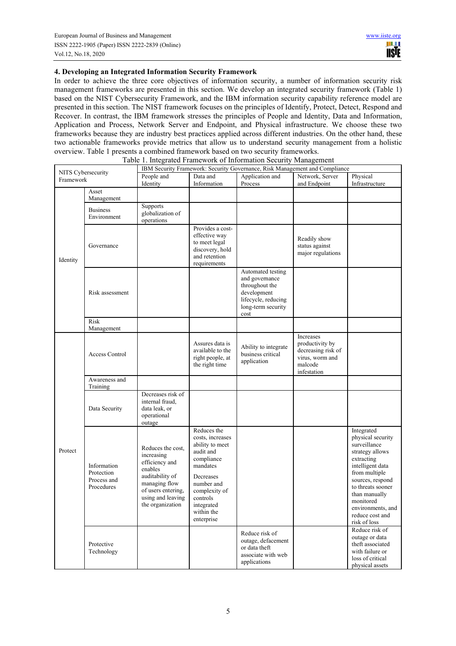# **4. Developing an Integrated Information Security Framework**

In order to achieve the three core objectives of information security, a number of information security risk management frameworks are presented in this section. We develop an integrated security framework (Table 1) based on the NIST Cybersecurity Framework, and the IBM information security capability reference model are presented in this section. The NIST framework focuses on the principles of Identify, Protect, Detect, Respond and Recover. In contrast, the IBM framework stresses the principles of People and Identity, Data and Information, Application and Process, Network Server and Endpoint, and Physical infrastructure. We choose these two frameworks because they are industry best practices applied across different industries. On the other hand, these two actionable frameworks provide metrics that allow us to understand security management from a holistic overview. Table 1 presents a combined framework based on two security frameworks.

|                                 |                                                        | Table 1. Integrated Framework of Information Security Management                                                                                                |                                                                                                                                                                                                    |                                                                                                                           |                                                                                                 |                                                                                                                                                                                                                                                      |  |  |
|---------------------------------|--------------------------------------------------------|-----------------------------------------------------------------------------------------------------------------------------------------------------------------|----------------------------------------------------------------------------------------------------------------------------------------------------------------------------------------------------|---------------------------------------------------------------------------------------------------------------------------|-------------------------------------------------------------------------------------------------|------------------------------------------------------------------------------------------------------------------------------------------------------------------------------------------------------------------------------------------------------|--|--|
| NITS Cybersecurity<br>Framework |                                                        | IBM Security Framework: Security Governance, Risk Management and Compliance                                                                                     |                                                                                                                                                                                                    |                                                                                                                           |                                                                                                 |                                                                                                                                                                                                                                                      |  |  |
|                                 |                                                        | People and<br>Identity                                                                                                                                          | Data and<br>Information                                                                                                                                                                            | Application and<br>Process                                                                                                | Network, Server<br>and Endpoint                                                                 | Physical<br>Infrastructure                                                                                                                                                                                                                           |  |  |
| Identity                        | Asset<br>Management                                    |                                                                                                                                                                 |                                                                                                                                                                                                    |                                                                                                                           |                                                                                                 |                                                                                                                                                                                                                                                      |  |  |
|                                 | <b>Business</b><br>Environment                         | Supports<br>globalization of<br>operations                                                                                                                      |                                                                                                                                                                                                    |                                                                                                                           |                                                                                                 |                                                                                                                                                                                                                                                      |  |  |
|                                 | Governance                                             |                                                                                                                                                                 | Provides a cost-<br>effective way<br>to meet legal<br>discovery, hold<br>and retention<br>requirements                                                                                             |                                                                                                                           | Readily show<br>status against<br>major regulations                                             |                                                                                                                                                                                                                                                      |  |  |
|                                 | Risk assessment                                        |                                                                                                                                                                 |                                                                                                                                                                                                    | Automated testing<br>and governance<br>throughout the<br>development<br>lifecycle, reducing<br>long-term security<br>cost |                                                                                                 |                                                                                                                                                                                                                                                      |  |  |
|                                 | Risk<br>Management                                     |                                                                                                                                                                 |                                                                                                                                                                                                    |                                                                                                                           |                                                                                                 |                                                                                                                                                                                                                                                      |  |  |
| Protect                         | Access Control                                         |                                                                                                                                                                 | Assures data is<br>available to the<br>right people, at<br>the right time                                                                                                                          | Ability to integrate<br>business critical<br>application                                                                  | Increases<br>productivity by<br>decreasing risk of<br>virus, worm and<br>malcode<br>infestation |                                                                                                                                                                                                                                                      |  |  |
|                                 | Awareness and<br>Training                              |                                                                                                                                                                 |                                                                                                                                                                                                    |                                                                                                                           |                                                                                                 |                                                                                                                                                                                                                                                      |  |  |
|                                 | Data Security                                          | Decreases risk of<br>internal fraud,<br>data leak, or<br>operational<br>outage                                                                                  |                                                                                                                                                                                                    |                                                                                                                           |                                                                                                 |                                                                                                                                                                                                                                                      |  |  |
|                                 | Information<br>Protection<br>Process and<br>Procedures | Reduces the cost,<br>increasing<br>efficiency and<br>enables<br>auditability of<br>managing flow<br>of users entering,<br>using and leaving<br>the organization | Reduces the<br>costs, increases<br>ability to meet<br>audit and<br>compliance<br>mandates<br><b>Decreases</b><br>number and<br>complexity of<br>controls<br>integrated<br>within the<br>enterprise |                                                                                                                           |                                                                                                 | Integrated<br>physical security<br>surveillance<br>strategy allows<br>extracting<br>intelligent data<br>from multiple<br>sources, respond<br>to threats sooner<br>than manually<br>monitored<br>environments, and<br>reduce cost and<br>risk of loss |  |  |
|                                 | Protective<br>Technology                               |                                                                                                                                                                 |                                                                                                                                                                                                    | Reduce risk of<br>outage, defacement<br>or data theft<br>associate with web<br>applications                               |                                                                                                 | Reduce risk of<br>outage or data<br>theft associated<br>with failure or<br>loss of critical<br>physical assets                                                                                                                                       |  |  |

Table 1. Integrated Framework of Information Security Management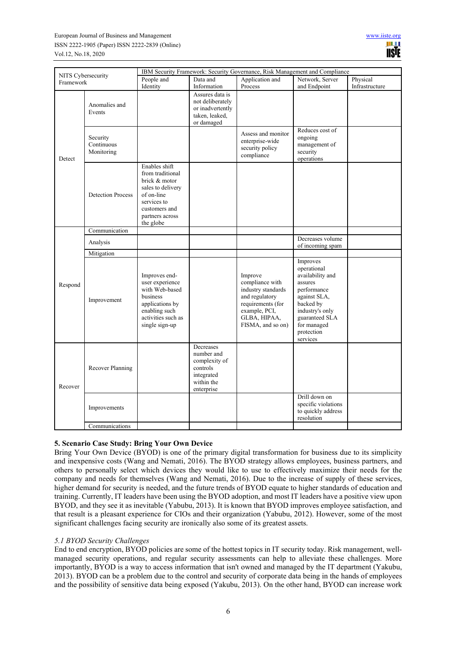| NITS Cybersecurity<br>Framework |                                      | IBM Security Framework: Security Governance, Risk Management and Compliance                                                                           |                                                                                                |                                                                                                                                               |                                                                                                                                                                                  |                |  |  |
|---------------------------------|--------------------------------------|-------------------------------------------------------------------------------------------------------------------------------------------------------|------------------------------------------------------------------------------------------------|-----------------------------------------------------------------------------------------------------------------------------------------------|----------------------------------------------------------------------------------------------------------------------------------------------------------------------------------|----------------|--|--|
|                                 |                                      | People and                                                                                                                                            | Data and                                                                                       | Application and                                                                                                                               | Network, Server                                                                                                                                                                  | Physical       |  |  |
|                                 |                                      | Identity                                                                                                                                              | Information                                                                                    | Process                                                                                                                                       | and Endpoint                                                                                                                                                                     | Infrastructure |  |  |
| Detect                          | Anomalies and<br>Events              |                                                                                                                                                       | Assures data is<br>not deliberately<br>or inadvertently<br>taken, leaked,<br>or damaged        |                                                                                                                                               |                                                                                                                                                                                  |                |  |  |
|                                 | Security<br>Continuous<br>Monitoring |                                                                                                                                                       |                                                                                                | Assess and monitor<br>enterprise-wide<br>security policy<br>compliance                                                                        | Reduces cost of<br>ongoing<br>management of<br>security<br>operations                                                                                                            |                |  |  |
|                                 | <b>Detection Process</b>             | Enables shift<br>from traditional<br>brick & motor<br>sales to delivery<br>of on-line<br>services to<br>customers and<br>partners across<br>the globe |                                                                                                |                                                                                                                                               |                                                                                                                                                                                  |                |  |  |
|                                 | Communication                        |                                                                                                                                                       |                                                                                                |                                                                                                                                               |                                                                                                                                                                                  |                |  |  |
| Respond                         | Analysis                             |                                                                                                                                                       |                                                                                                |                                                                                                                                               | Decreases volume<br>of incoming spam                                                                                                                                             |                |  |  |
|                                 | Mitigation                           |                                                                                                                                                       |                                                                                                |                                                                                                                                               |                                                                                                                                                                                  |                |  |  |
|                                 | Improvement                          | Improves end-<br>user experience<br>with Web-based<br>business<br>applications by<br>enabling such<br>activities such as<br>single sign-up            |                                                                                                | Improve<br>compliance with<br>industry standards<br>and regulatory<br>requirements (for<br>example, PCI,<br>GLBA, HIPAA,<br>FISMA, and so on) | Improves<br>operational<br>availability and<br>assures<br>performance<br>against SLA,<br>backed by<br>industry's only<br>guaranteed SLA<br>for managed<br>protection<br>services |                |  |  |
| Recover                         | Recover Planning                     |                                                                                                                                                       | Decreases<br>number and<br>complexity of<br>controls<br>integrated<br>within the<br>enterprise |                                                                                                                                               |                                                                                                                                                                                  |                |  |  |
|                                 | Improvements                         |                                                                                                                                                       |                                                                                                |                                                                                                                                               | Drill down on<br>specific violations<br>to quickly address<br>resolution                                                                                                         |                |  |  |
|                                 | Communications                       |                                                                                                                                                       |                                                                                                |                                                                                                                                               |                                                                                                                                                                                  |                |  |  |

# **5. Scenario Case Study: Bring Your Own Device**

Bring Your Own Device (BYOD) is one of the primary digital transformation for business due to its simplicity and inexpensive costs (Wang and Nemati, 2016). The BYOD strategy allows employees, business partners, and others to personally select which devices they would like to use to effectively maximize their needs for the company and needs for themselves (Wang and Nemati, 2016). Due to the increase of supply of these services, higher demand for security is needed, and the future trends of BYOD equate to higher standards of education and training. Currently, IT leaders have been using the BYOD adoption, and most IT leaders have a positive view upon BYOD, and they see it as inevitable (Yabubu, 2013). It is known that BYOD improves employee satisfaction, and that result is a pleasant experience for CIOs and their organization (Yabubu, 2012). However, some of the most significant challenges facing security are ironically also some of its greatest assets.

# *5.1 BYOD Security Challenges*

End to end encryption, BYOD policies are some of the hottest topics in IT security today. Risk management, wellmanaged security operations, and regular security assessments can help to alleviate these challenges. More importantly, BYOD is a way to access information that isn't owned and managed by the IT department (Yakubu, 2013). BYOD can be a problem due to the control and security of corporate data being in the hands of employees and the possibility of sensitive data being exposed (Yakubu, 2013). On the other hand, BYOD can increase work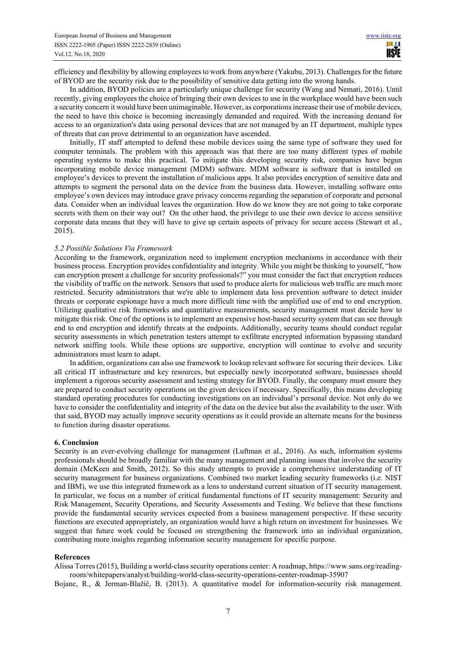efficiency and flexibility by allowing employees to work from anywhere (Yakubu, 2013). Challenges for the future of BYOD are the security risk due to the possibility of sensitive data getting into the wrong hands.

In addition, BYOD policies are a particularly unique challenge for security (Wang and Nemati, 2016). Until recently, giving employees the choice of bringing their own devices to use in the workplace would have been such a security concern it would have been unimaginable. However, as corporations increase their use of mobile devices, the need to have this choice is becoming increasingly demanded and required. With the increasing demand for access to an organization's data using personal devices that are not managed by an IT department, multiple types of threats that can prove detrimental to an organization have ascended.

Initially, IT staff attempted to defend these mobile devices using the same type of software they used for computer terminals. The problem with this approach was that there are too many different types of mobile operating systems to make this practical. To mitigate this developing security risk, companies have begun incorporating mobile device management (MDM) software. MDM software is software that is installed on employee's devices to prevent the installation of malicious apps. It also provides encryption of sensitive data and attempts to segment the personal data on the device from the business data. However, installing software onto employee's own devices may introduce grave privacy concerns regarding the separation of corporate and personal data. Consider when an individual leaves the organization. How do we know they are not going to take corporate secrets with them on their way out? On the other hand, the privilege to use their own device to access sensitive corporate data means that they will have to give up certain aspects of privacy for secure access (Stewart et al., 2015).

## *5.2 Possible Solutions Via Framework*

According to the framework, organization need to implement encryption mechanisms in accordance with their business process. Encryption provides confidentiality and integrity. While you might be thinking to yourself, "how can encryption present a challenge for security professionals?" you must consider the fact that encryption reduces the visibility of traffic on the network. Sensors that used to produce alerts for malicious web traffic are much more restricted. Security administrators that we're able to implement data loss prevention software to detect insider threats or corporate espionage have a much more difficult time with the amplified use of end to end encryption. Utilizing qualitative risk frameworks and quantitative measurements, security management must decide how to mitigate this risk. One of the options is to implement an expensive host-based security system that can see through end to end encryption and identify threats at the endpoints. Additionally, security teams should conduct regular security assessments in which penetration testers attempt to exfiltrate encrypted information bypassing standard network sniffing tools. While these options are supportive, encryption will continue to evolve and security administrators must learn to adapt.

In addition, organizations can also use framework to lookup relevant software for securing their devices. Like all critical IT infrastructure and key resources, but especially newly incorporated software, businesses should implement a rigorous security assessment and testing strategy for BYOD. Finally, the company must ensure they are prepared to conduct security operations on the given devices if necessary. Specifically, this means developing standard operating procedures for conducting investigations on an individual's personal device. Not only do we have to consider the confidentiality and integrity of the data on the device but also the availability to the user. With that said, BYOD may actually improve security operations as it could provide an alternate means for the business to function during disaster operations.

## **6. Conclusion**

Security is an ever-evolving challenge for management (Luftman et al., 2016). As such, information systems professionals should be broadly familiar with the many management and planning issues that involve the security domain (McKeen and Smith, 2012). So this study attempts to provide a comprehensive understanding of IT security management for business organizations. Combined two market leading security frameworks (i.e. NIST and IBM), we use this integrated framework as a lens to understand current situation of IT security management. In particular, we focus on a number of critical fundamental functions of IT security management: Security and Risk Management, Security Operations, and Security Assessments and Testing. We believe that these functions provide the fundamental security services expected from a business management perspective. If these security functions are executed appropriately, an organization would have a high return on investment for businesses. We suggest that future work could be focused on strengthening the framework into an individual organization, contributing more insights regarding information security management for specific purpose.

## **References**

Alissa Torres (2015), Building a world-class security operations center: A roadmap, https://www.sans.org/readingroom/whitepapers/analyst/building-world-class-security-operations-center-roadmap-35907

Bojanc, R., & Jerman-Blažič, B. (2013). A quantitative model for information-security risk management.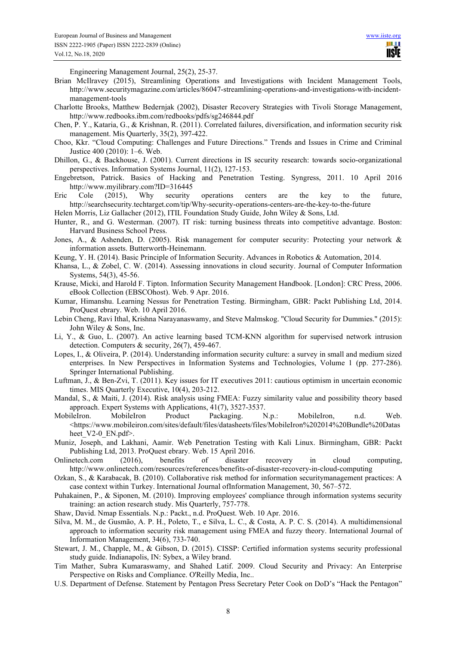Ш **USIE** 

Engineering Management Journal, 25(2), 25-37.

- Brian McIlravey (2015), Streamlining Operations and Investigations with Incident Management Tools, http://www.securitymagazine.com/articles/86047-streamlining-operations-and-investigations-with-incidentmanagement-tools
- Charlotte Brooks, Matthew Bedernjak (2002), Disaster Recovery Strategies with Tivoli Storage Management, http://www.redbooks.ibm.com/redbooks/pdfs/sg246844.pdf
- Chen, P. Y., Kataria, G., & Krishnan, R. (2011). Correlated failures, diversification, and information security risk management. Mis Quarterly, 35(2), 397-422.
- Choo, Kkr. "Cloud Computing: Challenges and Future Directions." Trends and Issues in Crime and Criminal Justice 400 (2010): 1–6. Web.
- Dhillon, G., & Backhouse, J. (2001). Current directions in IS security research: towards socio-organizational perspectives. Information Systems Journal, 11(2), 127-153.
- Engebretson, Patrick. Basics of Hacking and Penetration Testing. Syngress, 2011. 10 April 2016 http://www.myilibrary.com?ID=316445
- Eric Cole (2015), Why security operations centers are the key to the future, http://searchsecurity.techtarget.com/tip/Why-security-operations-centers-are-the-key-to-the-future
- Helen Morris, Liz Gallacher (2012), ITIL Foundation Study Guide, John Wiley & Sons, Ltd.
- Hunter, R., and G. Westerman. (2007). IT risk: turning business threats into competitive advantage. Boston: Harvard Business School Press.
- Jones, A., & Ashenden, D. (2005). Risk management for computer security: Protecting your network & information assets. Butterworth-Heinemann.
- Keung, Y. H. (2014). Basic Principle of Information Security. Advances in Robotics & Automation, 2014.
- Khansa, L., & Zobel, C. W. (2014). Assessing innovations in cloud security. Journal of Computer Information Systems, 54(3), 45-56.
- Krause, Micki, and Harold F. Tipton. Information Security Management Handbook. [London]: CRC Press, 2006. eBook Collection (EBSCOhost). Web. 9 Apr. 2016.
- Kumar, Himanshu. Learning Nessus for Penetration Testing. Birmingham, GBR: Packt Publishing Ltd, 2014. ProQuest ebrary. Web. 10 April 2016.
- Lebin Cheng, Ravi Ithal, Krishna Narayanaswamy, and Steve Malmskog. "Cloud Security for Dummies." (2015): John Wiley & Sons, Inc.
- Li, Y., & Guo, L. (2007). An active learning based TCM-KNN algorithm for supervised network intrusion detection. Computers & security, 26(7), 459-467.
- Lopes, I., & Oliveira, P. (2014). Understanding information security culture: a survey in small and medium sized enterprises. In New Perspectives in Information Systems and Technologies, Volume 1 (pp. 277-286). Springer International Publishing.
- Luftman, J., & Ben-Zvi, T. (2011). Key issues for IT executives 2011: cautious optimism in uncertain economic times. MIS Quarterly Executive, 10(4), 203-212.
- Mandal, S., & Maiti, J. (2014). Risk analysis using FMEA: Fuzzy similarity value and possibility theory based approach. Expert Systems with Applications, 41(7), 3527-3537.
- MobileIron. MobileIron Product Packaging. N.p.: MobileIron, n.d. Web. <https://www.mobileiron.com/sites/default/files/datasheets/files/MobileIron%202014%20Bundle%20Datas heet V2-0 EN.pdf>.
- Muniz, Joseph, and Lakhani, Aamir. Web Penetration Testing with Kali Linux. Birmingham, GBR: Packt Publishing Ltd, 2013. ProQuest ebrary. Web. 15 April 2016.
- Onlinetech.com (2016), benefits of disaster recovery in cloud computing, http://www.onlinetech.com/resources/references/benefits-of-disaster-recovery-in-cloud-computing
- Ozkan, S., & Karabacak, B. (2010). Collaborative risk method for information securitymanagement practices: A case context within Turkey. International Journal ofInformation Management, 30, 567–572.
- Puhakainen, P., & Siponen, M. (2010). Improving employees' compliance through information systems security training: an action research study. Mis Quarterly, 757-778.
- Shaw, David. Nmap Essentials. N.p.: Packt., n.d. ProQuest. Web. 10 Apr. 2016.
- Silva, M. M., de Gusmão, A. P. H., Poleto, T., e Silva, L. C., & Costa, A. P. C. S. (2014). A multidimensional approach to information security risk management using FMEA and fuzzy theory. International Journal of Information Management, 34(6), 733-740.
- Stewart, J. M., Chapple, M., & Gibson, D. (2015). CISSP: Certified information systems security professional study guide. Indianapolis, IN: Sybex, a Wiley brand.
- Tim Mather, Subra Kumaraswamy, and Shahed Latif. 2009. Cloud Security and Privacy: An Enterprise Perspective on Risks and Compliance. O'Reilly Media, Inc..
- U.S. Department of Defense. Statement by Pentagon Press Secretary Peter Cook on DoD's "Hack the Pentagon"